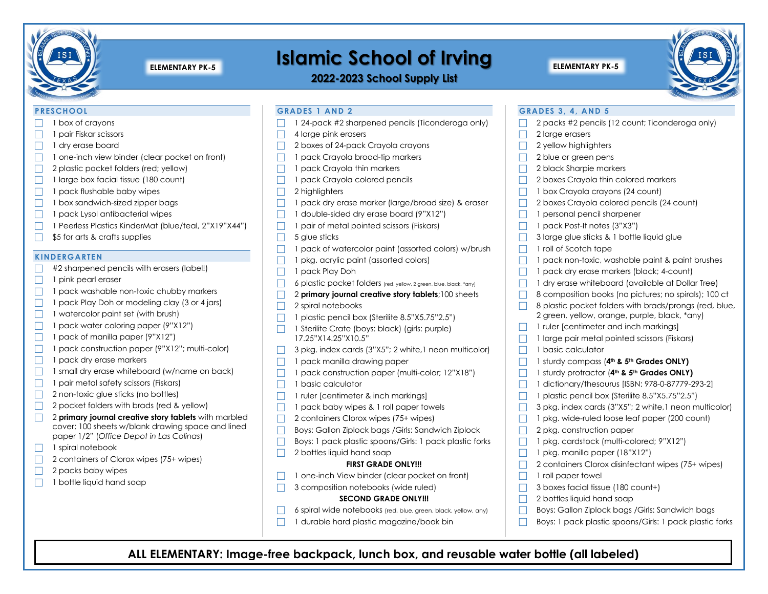

# **ISLAMIC SCHOOL OF ITVING**

**2022-2023 School Supply List**



#### **PRESCHOOL**

- 1 box of crayons
- $\Box$  1 pair Fiskar scissors
- $\Box$  1 drv erase board
- $\Box$  1 one-inch view binder (clear pocket on front)
- $\Box$  2 plastic pocket folders (red; yellow)
- $\Box$  1 large box facial tissue (180 count)
- $\Box$  1 pack flushable baby wipes
- $\Box$  1 box sandwich-sized zipper bags
- $\Box$  1 pack Lysol antibacterial wipes
- 1 Peerless Plastics KinderMat (blue/teal, 2"X19"X44")
- $\Box$  \$5 for arts & crafts supplies

#### **KINDERGARTEN**

- #2 sharpened pencils with erasers (label!)
- $\Box$  1 pink pearl eraser
- $\Box$  1 pack washable non-toxic chubby markers
- $\Box$  1 pack Play Doh or modeling clay (3 or 4 jars)
- $\Box$  1 watercolor paint set (with brush)
- $\Box$  1 pack water coloring paper (9"X12")
- $\Box$  1 pack of manilla paper (9"X12")
- 1 pack construction paper (9"X12"; multi-color)
- $\Box$  1 pack drv erase markers
- $\Box$  1 small dry erase whiteboard (w/name on back)
- $\Box$  1 pair metal safety scissors (Fiskars)
- $\Box$  2 non-toxic glue sticks (no bottles)
- $\Box$  2 pocket folders with brads (red & yellow)
- 2 **primary journal creative story tablets** with marbled cover; 100 sheets w/blank drawing space and lined paper 1/2" (*Office Depot in Las Colinas*)
- $\Box$  1 spiral notebook
- □ 2 containers of Clorox wipes (75+ wipes)
- $\Box$  2 packs baby wipes
- $\Box$  1 bottle liquid hand soap
- **GRADES 1 AND 2** 1 24-pack #2 sharpened pencils (Ticonderoga only)  $\Box$  4 large pink erasers □ 2 boxes of 24-pack Crayola crayons  $\Box$  1 pack Crayola broad-tip markers  $\Box$  1 pack Crayola thin markers  $\Box$  1 pack Crayola colored pencils  $\Box$  2 highlighters 1 pack dry erase marker (large/broad size) & eraser  $\Box$  1 double-sided dry erase board (9"X12")  $\Box$  1 pair of metal pointed scissors (Fiskars)  $\Box$  5 glue sticks  $\Box$  1 pack of watercolor paint (assorted colors) w/brush  $\Box$  1 pkg. acrylic paint (assorted colors) □ 1 pack Play Doh 6 plastic pocket folders (red, yellow, 2 green, blue, black, \*any) **1** 2 **primary journal creative story tablets**;100 sheets  $\Box$  2 spiral notebooks  $\Box$  1 plastic pencil box (Sterilite 8.5"X5.75"2.5")  $\Box$  1 Sterilite Crate (boys: black) (girls: purple) 17.25"X14.25"X10.5"  $\Box$  3 pkg. index cards (3"X5"; 2 white, 1 neon multicolor)  $\Box$  1 pack manilla drawing paper  $\Box$  1 pack construction paper (multi-color; 12"X18")  $\Box$  1 basic calculator  $\Box$  1 ruler [centimeter & inch markings]  $\Box$  1 pack baby wipes & 1 roll paper towels □ 2 containers Clorox wipes (75+ wipes) Boys: Gallon Ziplock bags / Girls: Sandwich Ziplock Boys: 1 pack plastic spoons/Girls: 1 pack plastic forks **GRADES 3, 4, AND 5** 2 packs #2 pencils (12 count; Ticonderoga only)  $\Box$  2 large erasers  $\Box$  2 yellow highlighters  $\Box$  2 blue or green pens  $\Box$  2 black Sharpie markers  $\Box$  2 boxes Cravola thin colored markers 1 box Crayola crayons (24 count) □ 2 boxes Crayola colored pencils (24 count)  $\Box$  1 personal pencil sharpener 1 pack Post-It notes (3"X3")  $\Box$  3 large glue sticks & 1 bottle liquid glue  $\Box$  1 roll of Scotch tape  $\Box$  1 pack non-toxic, washable paint & paint brushes 1 pack dry erase markers (black; 4-count)  $\Box$  1 dry erase whiteboard (available at Dollar Tree)  $\Box$  8 composition books (no pictures; no spirals); 100 ct  $\Box$  8 plastic pocket folders with brads/prongs (red, blue, 2 green, yellow, orange, purple, black, \*any)  $\Box$  1 ruler [centimeter and inch markings]  $\Box$  1 large pair metal pointed scissors (Fiskars)  $\Box$  1 basic calculator 1 sturdy compass (**4th & 5th Grades ONLY)** 1 sturdy protractor (**4th & 5th Grades ONLY)** 1 dictionary/thesaurus [ISBN: 978-0-87779-293-2]  $\Box$  1 plastic pencil box (Sterilite 8.5"X5.75"2.5")  $\Box$  3 pkg. index cards (3"X5"; 2 white, 1 neon multicolor)  $\Box$  1 pkg. wide-ruled loose leaf paper (200 count)  $\Box$  2 pkg. construction paper  $\Box$  1 pkg. cardstock (multi-colored; 9"X12")
	-
- $\Box$  2 bottles liquid hand soap

# **FIRST GRADE ONLY!!!**

- $\Box$  1 one-inch View binder (clear pocket on front)
- 3 composition notebooks (wide ruled)

## **SECOND GRADE ONLY!!!**

- $\Box$  6 spiral wide notebooks (red, blue, green, black, yellow, any)
- $\Box$  1 durable hard plastic magazine/book bin
- $\Box$  1 pkg. manilla paper (18"X12")
- 2 containers Clorox disinfectant wipes  $(75+)$  wipes)
- $\Box$  1 roll paper towel
- $\Box$  3 boxes facial tissue (180 count+)
- $\Box$  2 bottles liquid hand soap
- Boys: Gallon Ziplock bags / Girls: Sandwich bags
- Boys: 1 pack plastic spoons/Girls: 1 pack plastic forks

**ALL ELEMENTARY: Image-free backpack, lunch box, and reusable water bottle (all labeled)**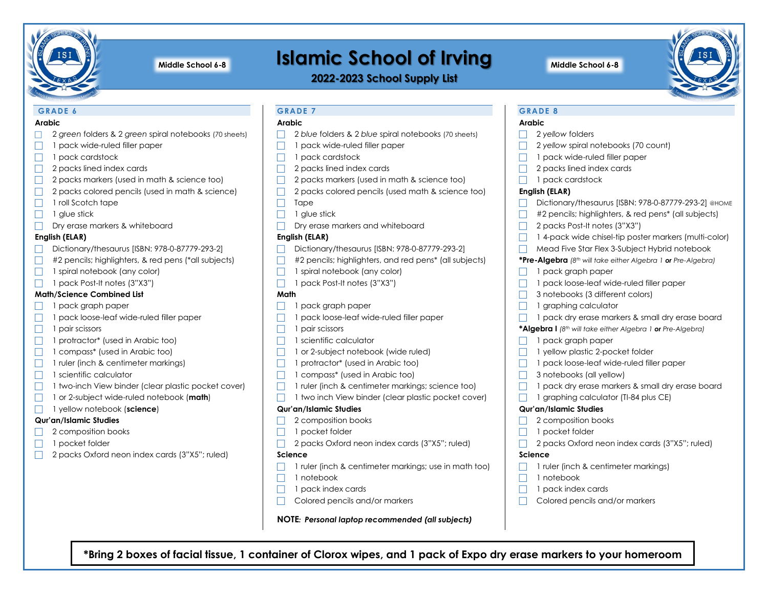

# **Islamic School of Irving Middle School 6-8 Middle School 6-8**

**2022-2023 School Supply List**



# **GRADE 6**

# **Arabic**

- 2 *green* folders & 2 *green* spiral notebooks (70 sheets)
- $\Box$  1 pack wide-ruled filler paper
- $\Box$  1 pack cardstock
- $\Box$  2 packs lined index cards
- $\Box$  2 packs markers (used in math & science too)
- $\Box$  2 packs colored pencils (used in math & science)
- $\Box$  1 roll Scotch tape
- $\Box$  1 glue stick
- Dry erase markers & whiteboard

# **English (ELAR)**

- Dictionary/thesaurus [ISBN: 978-0-87779-293-2]
- $\Box$  #2 pencils; highlighters, & red pens (\*all subjects)
- $\Box$  1 spiral notebook (any color)
- $\Box$  1 pack Post-It notes (3"X3")

# **Math/Science Combined List**

- 1 pack graph paper
- $\Box$  1 pack loose-leaf wide-ruled filler paper
- $\Box$  1 pair scissors
- $\Box$  1 protractor\* (used in Arabic too)
- $\Box$  1 compass\* (used in Arabic too)
- $\Box$  1 ruler (inch & centimeter markings)
- $\Box$  1 scientific calculator
- $\Box$  1 two-inch View binder (clear plastic pocket cover)
- 1 or 2-subject wide-ruled notebook (**math**)
- 1 yellow notebook (**science**)

# **Qur'an/Islamic Studies**

- 2 composition books
- $\Box$  1 pocket folder
- 2 packs Oxford neon index cards (3"X5"; ruled)

# **GRADE 7**

# **Arabic**

- **2** *blue* folders & 2 *blue* spiral notebooks (70 sheets)
- $\Box$  1 pack wide-ruled filler paper
- $\Box$  1 pack cardstock
- $\Box$  2 packs lined index cards
- $\Box$  2 packs markers (used in math & science too)
- $\Box$  2 packs colored pencils (used math & science too)
- $\Box$  Tape
- $\Box$  1 glue stick
- $\Box$  Dry erase markers and whiteboard

# **English (ELAR)**

- Dictionary/thesaurus [ISBN: 978-0-87779-293-2]
- $\Box$  #2 pencils; highlighters, and red pens\* (all subjects)
- $\Box$  1 spiral notebook (any color)
- $\Box$  1 pack Post-It notes (3"X3")

# **Math**

- $\Box$  1 pack graph paper
- 1 pack loose-leaf wide-ruled filler paper
- $\Box$  1 pair scissors
- $\Box$  1 scientific calculator
- $\Box$  1 or 2-subject notebook (wide ruled)
- $\Box$  1 protractor\* (used in Arabic too)
- $\Box$  1 compass\* (used in Arabic too)
- $\Box$  1 ruler (inch & centimeter markings; science too)
- 1 two inch View binder (clear plastic pocket cover)

## **Qur'an/Islamic Studies**

- $\Box$  2 composition books
- $\Box$  1 pocket folder
- 2 packs Oxford neon index cards (3"X5"; ruled)

# **Science**

- $\Box$  1 ruler (inch & centimeter markings; use in math too)
- $\Box$  1 notebook
- $\Box$  1 pack index cards
- $\Box$  Colored pencils and/or markers

**NOTE***: Personal laptop recommended (all subjects)*

**\*Bring 2 boxes of facial tissue, 1 container of Clorox wipes, and 1 pack of Expo dry erase markers to your homeroom** 

# **GRADE 8**

# **Arabic**

- □ 2 *yellow* folders
- □ 2 yellow spiral notebooks (70 count)
- $\Box$  1 pack wide-ruled filler paper
- $\Box$  2 packs lined index cards
- $\Box$  1 pack cardstock

# **English (ELAR)**

- Dictionary/thesaurus [ISBN: 978-0-87779-293-2] @HOME
- $\Box$  #2 pencils; highlighters, & red pens\* (all subjects)
- $\Box$  2 packs Post-It notes (3"X3")
- $\Box$  1 4-pack wide chisel-tip poster markers (multi-color)
- Mead Five Star Flex 3-Subject Hybrid notebook

## **\*Pre-Algebra** *(8th will take either Algebra 1 or Pre-Algebra)*

- $\Box$  1 pack graph paper
- 1 pack loose-leaf wide-ruled filler paper
- $\Box$  3 notebooks (3 different colors)
- $\Box$  1 graphing calculator
- $\Box$  1 pack dry erase markers & small dry erase board

**\*Algebra I** *(8th will take either Algebra 1 or Pre-Algebra)*

- $\Box$  1 pack graph paper
- $\Box$  1 yellow plastic 2-pocket folder
- $\Box$  1 pack loose-leaf wide-ruled filler paper
- $\Box$  3 notebooks (all yellow)
- $\Box$  1 pack dry erase markers & small dry erase board

2 packs Oxford neon index cards (3"X5"; ruled)

1 ruler (inch & centimeter markings)

Colored pencils and/or markers

 $\Box$  1 graphing calculator (TI-84 plus CE)

## **Qur'an/Islamic Studies**

 $\Box$  1 pocket folder

 $\Box$  1 notebook  $\Box$  1 pack index cards

**Science**

2 composition books